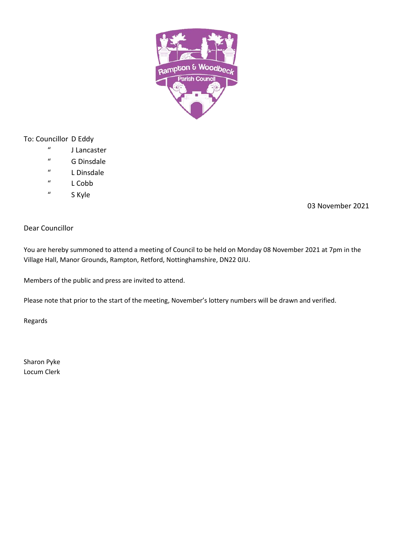

# To: Councillor D Eddy

- " J Lancaster
- " G Dinsdale
- " L Dinsdale
- " L Cobb
- " S Kyle

03 November 2021

# Dear Councillor

You are hereby summoned to attend a meeting of Council to be held on Monday 08 November 2021 at 7pm in the Village Hall, Manor Grounds, Rampton, Retford, Nottinghamshire, DN22 0JU.

Members of the public and press are invited to attend.

Please note that prior to the start of the meeting, November's lottery numbers will be drawn and verified.

Regards

Sharon Pyke Locum Clerk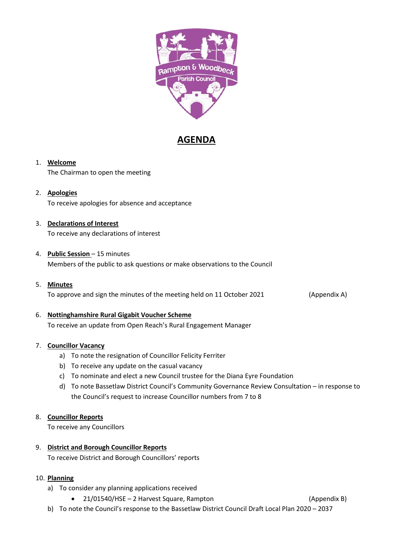

# **AGENDA**

### 1. **Welcome**

The Chairman to open the meeting

### 2. **Apologies**

To receive apologies for absence and acceptance

# 3. **Declarations of Interest**

To receive any declarations of interest

#### 4. **Public Session** – 15 minutes

Members of the public to ask questions or make observations to the Council

# 5. **Minutes** To approve and sign the minutes of the meeting held on 11 October 2021 (Appendix A)

# 6. **Nottinghamshire Rural Gigabit Voucher Scheme**

To receive an update from Open Reach's Rural Engagement Manager

#### 7. **Councillor Vacancy**

- a) To note the resignation of Councillor Felicity Ferriter
- b) To receive any update on the casual vacancy
- c) To nominate and elect a new Council trustee for the Diana Eyre Foundation
- d) To note Bassetlaw District Council's Community Governance Review Consultation in response to the Council's request to increase Councillor numbers from 7 to 8

### 8. **Councillor Reports**

To receive any Councillors

### 9. **District and Borough Councillor Reports**

To receive District and Borough Councillors' reports

### 10. **Planning**

- a) To consider any planning applications received
	- 21/01540/HSE 2 Harvest Square, Rampton (Appendix B)

b) To note the Council's response to the Bassetlaw District Council Draft Local Plan 2020 – 2037